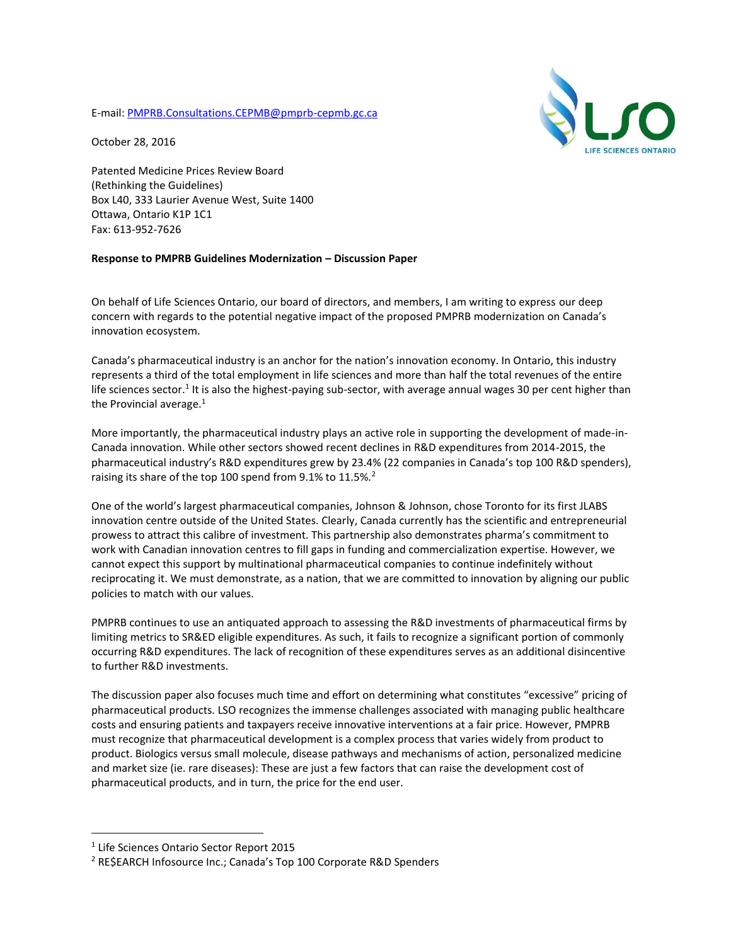E-mail[: PMPRB.Consultations.CEPMB@pmprb-cepmb.gc.ca](mailto:PMPRB.Consultations.CEPMB@pmprb-cepmb.gc.ca)



October 28, 2016

Patented Medicine Prices Review Board (Rethinking the Guidelines) Box L40, 333 Laurier Avenue West, Suite 1400 Ottawa, Ontario K1P 1C1 Fax: 613-952-7626

## **Response to PMPRB Guidelines Modernization – Discussion Paper**

On behalf of Life Sciences Ontario, our board of directors, and members, I am writing to express our deep concern with regards to the potential negative impact of the proposed PMPRB modernization on Canada's innovation ecosystem.

Canada's pharmaceutical industry is an anchor for the nation's innovation economy. In Ontario, this industry represents a third of the total employment in life sciences and more than half the total revenues of the entire life sciences sector.<sup>1</sup> It is also the highest-paying sub-sector, with average annual wages 30 per cent higher than the Provincial average. $1$ 

More importantly, the pharmaceutical industry plays an active role in supporting the development of made-in-Canada innovation. While other sectors showed recent declines in R&D expenditures from 2014-2015, the pharmaceutical industry's R&D expenditures grew by 23.4% (22 companies in Canada's top 100 R&D spenders), raising its share of the top 100 spend from 9.1% to 11.5%.<sup>2</sup>

One of the world's largest pharmaceutical companies, Johnson & Johnson, chose Toronto for its first JLABS innovation centre outside of the United States. Clearly, Canada currently has the scientific and entrepreneurial prowess to attract this calibre of investment. This partnership also demonstrates pharma's commitment to work with Canadian innovation centres to fill gaps in funding and commercialization expertise. However, we cannot expect this support by multinational pharmaceutical companies to continue indefinitely without reciprocating it. We must demonstrate, as a nation, that we are committed to innovation by aligning our public policies to match with our values.

PMPRB continues to use an antiquated approach to assessing the R&D investments of pharmaceutical firms by limiting metrics to SR&ED eligible expenditures. As such, it fails to recognize a significant portion of commonly occurring R&D expenditures. The lack of recognition of these expenditures serves as an additional disincentive to further R&D investments.

The discussion paper also focuses much time and effort on determining what constitutes "excessive" pricing of pharmaceutical products. LSO recognizes the immense challenges associated with managing public healthcare costs and ensuring patients and taxpayers receive innovative interventions at a fair price. However, PMPRB must recognize that pharmaceutical development is a complex process that varies widely from product to product. Biologics versus small molecule, disease pathways and mechanisms of action, personalized medicine and market size (ie. rare diseases): These are just a few factors that can raise the development cost of pharmaceutical products, and in turn, the price for the end user.

 $\overline{a}$ 

<sup>1</sup> Life Sciences Ontario Sector Report 2015

<sup>2</sup> RE\$EARCH Infosource Inc.; Canada's Top 100 Corporate R&D Spenders